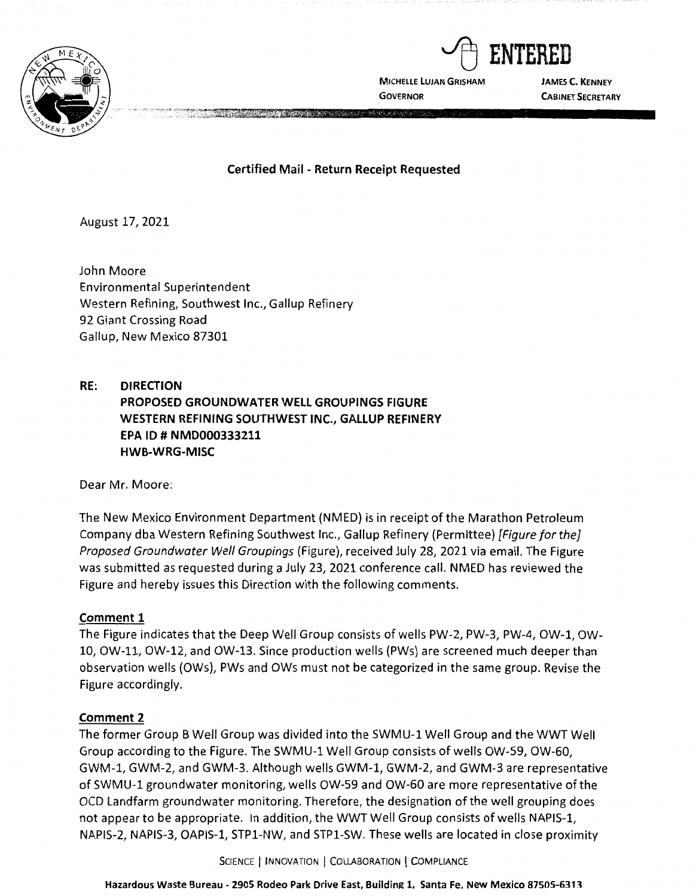

~ ENTERED

**MICHELLE LUJAN GRISHAM GOVERNOR** 

**JAMES C. KENNEY CABINET SECRETARY** 

**Certified Mail** - **Return Receipt Requested** 

August 17, 2021

John Moore Environmental Superintendent Western Refining, Southwest Inc., Gallup Refinery 92 Giant Crossing Road Gallup, New Mexico 87301

**RE: DIRECTION PROPOSED GROUNDWATER WELL GROUPINGS FIGURE WESTERN REFINING SOUTHWEST INC., GALLUP REFINERY EPA** ID# **NMD000333211 HWB-WRG-MISC** 

Dear Mr. Moore:

The New Mexico Environment Department {NMED) is in receipt of the Marathon Petroleum Company dba Western Refining Southwest Inc., Gallup Refinery (Permittee) [Figure for the] Proposed Groundwater Well Groupings {Figure), received July 28, 2021 via email. The Figure was submitted as requested during a July 23, 2021 conference call. NMED has reviewed the Figure and hereby issues this Direction with the following comments.

## **Comment 1**

The Figure indicates that the Deep Well Group consists of wells PW-2, PW-3, PW-4, OW-1, OW-10, OW-11, OW-12, and OW-13. Since production wells {PWs) are screened much deeper than observation wells {OWs), PWs and OWs must not be categorized in the same group. Revise the Figure accordingly.

## **Comment 2**

The former Group B Well Group was divided into the SWMU-1 Well Group and the WWT Well Group according to the Figure. The SWMU-1 Well Group consists of wells OW-59, OW-60, GWM-1, GWM-2, and GWM-3. Although wells GWM-1, GWM-2, and GWM-3 are representative of SWMU-1 groundwater monitoring, wells OW-59 and OW-60 are more representative of the OCD Landfarm groundwater monitoring. Therefore, the designation of the well grouping does not appear to be appropriate. In addition, the WWT Well Group consists of wells NAPIS-1, NAPIS-2, NAPIS-3, OAPIS-1, STPl-NW, and STPl-SW. These wells are located in close proximity

SCIENCE j INNOVATION I COLLABORATION I COMPLIANCE